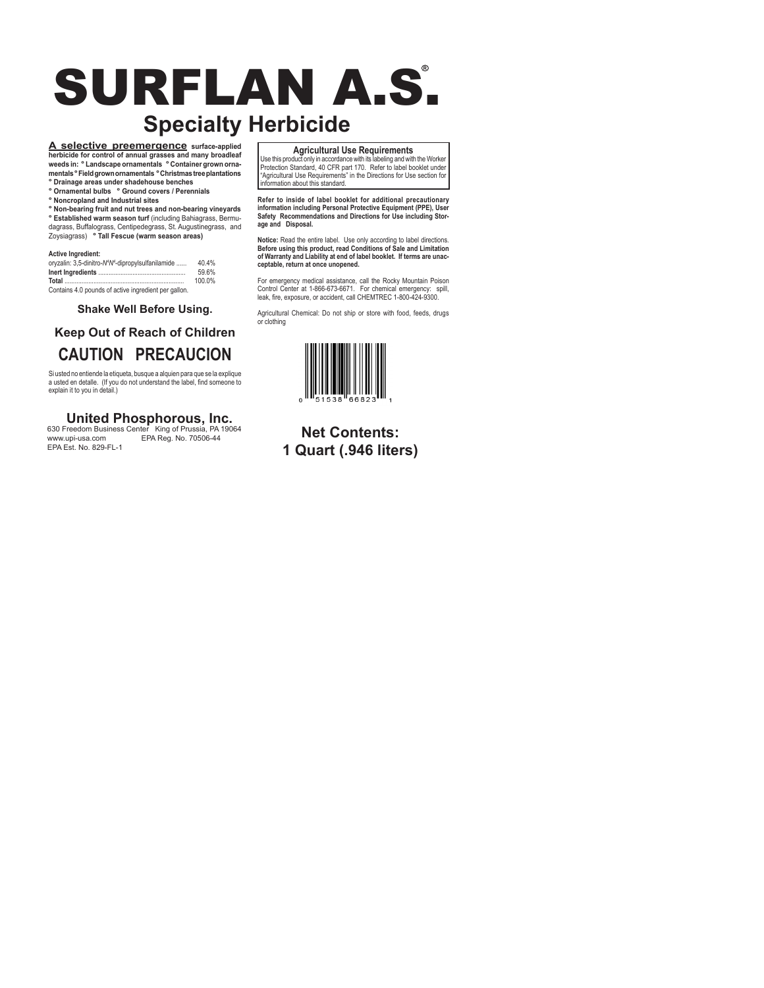# SURFLAN A.S. **R Specialty Herbicide**

**A selective preemergence surface-applied herbicide for control of annual grasses and many broadleaf weeds in: ° Landscape ornamentals ° Container grown ornamentals ° Field grown ornamentals ° Christmas tree plantations ° Drainage areas under shadehouse benches**

**° Ornamental bulbs ° Ground covers / Perennials**

**° Noncropland and Industrial sites**

**° Non-bearing fruit and nut trees and non-bearing vineyards**

**° Established warm season turf** (including Bahiagrass, Bermudagrass, Buffalograss, Centipedegrass, St. Augustinegrass, and Zoysiagrass) **° Tall Fescue (warm season areas)**

#### **Active Ingredient:**

| oryzalin: 3,5-dinitro-N <sup>4</sup> N <sup>4</sup> -dipropylsulfanilamide | 40.4%  |  |
|----------------------------------------------------------------------------|--------|--|
|                                                                            | 59.6%  |  |
|                                                                            | 100.0% |  |
| Contains 4.0 pounds of active ingredient per gallon.                       |        |  |

**Shake Well Before Using.**

# **Keep Out of Reach of Children CAUTION PRECAUCION**

Si usted no entiende la etiqueta, busque a alquien para que se la explique a usted en detalle. (If you do not understand the label, find someone to explain it to you in detail.)

# **United Phosphorous, Inc.**

630 Freedom Business Center King of Prussia, PA 19064 www.upi-usa.com EPA Reg. No. 70506-44 EPA Est. No. 829-FL-1

**Agricultural Use Requirements**

Use this product only in accordance with its labeling and with the Worker Protection Standard, 40 CFR part 170. Refer to label booklet under "Agricultural Use Requirements" in the Directions for Use section for information about this standard.

**Refer to inside of label booklet for additional precautionary information including Personal Protective Equipment (PPE), User Safety Recommendations and Directions for Use including Storage and Disposal.**

**Notice:** Read the entire label. Use only according to label directions. **Before using this product, read Conditions of Sale and Limitation of Warranty and Liability at end of label booklet. If terms are unacceptable, return at once unopened.**

For emergency medical assistance, call the Rocky Mountain Poison Control Center at 1-866-673-6671. For chemical emergency: spill, leak, fire, exposure, or accident, call CHEMTREC 1-800-424-9300.

Agricultural Chemical: Do not ship or store with food, feeds, drugs or clothing



# **Net Contents: 1 Quart (.946 liters)**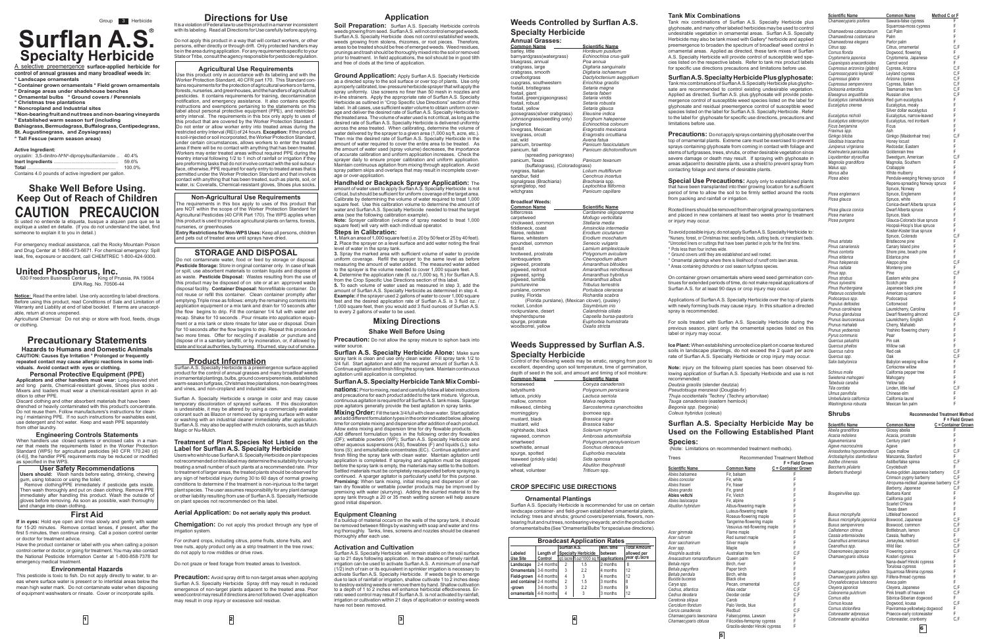# **Surflan A.S. R Specialty Herbicide**

A selective preemergence **surface-applied herbicide for control of annual grasses and many broadleaf weeds in: ° Landscape ornamentals** 

- **° Container grown ornamentals ° Field grown ornamentals**
- **° Drainage areas under shadehouse benches ° Ornamental bulbs ° Ground covers / Perennials**
- **° Christmas tree plantations**
- **° Noncropland and Industrial sites**

**° Non-bearing fruit and nut trees and non-bearing vineyards ° Established warm season turf (including** 

# **Shake Well Before Using. Keep Out of Reach of Children CAUTION PRECAUCION** Si usted no entiende la etiqueta, busque a alquien para que se la

**Bahiagrass, Bermudagrass, Buffalograss, Centipedegrass,** 

**St. Augustinegrass, and Zoysiagrass)**

**° Tall Fescue (warm season areas)**

#### **Active Ingredient:**

.<br>King of Prussia, PA 19064 EPA Reg. No. 70506-44

| <b>ACTIVE INDIANAL</b>                                                     |        |
|----------------------------------------------------------------------------|--------|
| oryzalin: 3,5-dinitro-N <sup>4</sup> N <sup>4</sup> -dipropylsulfanilamide | 40.4%  |
|                                                                            | 59.6%  |
|                                                                            | 100.0% |
| Contains 4.0 pounds of active ingredient per gallon.                       |        |

explique a usted en detalle. (If you do not understand the label, find someone to explain it to you in detail.)

Discard clothing and other absorbent materials that have been drenched or heavily contaminated with this product's concentrate. Do not reuse them. Follow manufacturers's instructions for cleaning / maintaining PPE. If no such instructions for washables exist, use detergent and hot water. Keep and wash PPE separately from other laundry.

For emergency medical assistance, call the Rocky Mountain Poison and Drug Center at 1-866-673-6671. For chemical emergency: Spill leak, fire, exposure or accident, call CHEMTREC 1-800-424-9300.

### **United Phosphorus, Inc.**

**Notice:** Read the entire label. Use only according to label directions. Before using this product, read Conditions of Sale and Limitation of Warranty and Liability at end of label booklet. If terms are unacceptable, return at once unopened.

Agricultural Chemical: Do not ship or store with food, feeds, drugs or clothing.

### **Precautionary Statements**

**Hazards to Humans and Domestic Animals CAUTION: Causes Eye Irritation ° Prolonged or frequently repeated contact may cause allergic reactions in some individuals. Avoid contact with eyes or clothing.** 

**Personal Protective Equipment (PPE) Applicators and other handlers must wear:** Long-sleeved shirt<br>and long pants, Chemical-resistant gloves, Shoes plus socks .<br>Mixers and loaders must wear a chemical-resistant apron in addition to other PPE.

Do not apply this product in a way that will contact workers, or other persons, either directly or through drift. Only protected handlers may be in the area during application. For any requirements specific to your State or Tribe, consult the agency responsible for pesticide regulation.

# **Engineering Controls Statements** When handlers use closed systems or enclosed cabs in a man-

ner that meets the requirements listed in the Worker Protection Standard (WPS) for agricultural pesticides [40 CFR 170.240 (d) (4-6)], the handler PPE requirements may be reduced or modified as specified in the WPS.

**User Safety Recommendations Users should:** Wash hands before eating, drinking, chewing gum, using tobacco or using the toilet. Remove clothing/PPE immediately if pesticide gets inside.

**Agricultural Use Requirements**<br>Use this product only in accordance with its labeling and with the<br>Worker Protection Standard, 40 CFR part 170. This Standard contains requirements for the protection of agricultural workers on farms, forests, nurseries, and greenhouses, and the handlers of agricultural pesticides. It contains requirements for training, decontamination notification, and emergency assistance. It also contains specific instructions and exemptions pertaining to the statements on this label about personal protective equipment (PPE), and restrictedentry interval. The requirements in this box only apply to uses of this product that are covered by the Worker Protection Standard. Do not enter or allow worker entry into treated areas during the restricted entry Interval (REI) of 24 hours. **Exception:** If the product is soil-injected or soil incorporated, the Worker Protection Standard, under certain circumstances, allows workers to enter the treated area if there will be no contact with anything that has been treated. Workers may enter treated areas without required PPE during the reentry interval following 1/2 to 1 inch of rainfall or irrigation if they are preforming tasks that do not involve contact with the soil subsur-face, otherwise, PPE required for early entry to treated areas that is permitted under the Worker Protection Standard and that involves  $\overline{\phantom{\mathsf{I}}}$  contact with anything that has been treated, such as plants, soil, or water, is: Coveralls, Chemical-resistant gloves, Shoes plus socks.

Then wash thoroughly and put on clean clothing. Remove PPE immediately after handling this product. Wash the outside of gloves before removing. As soon as possible, wash thoroughly and change into clean clothing.

#### **First Aid**

**If in eyes:** Hold eye open and rinse slowly and gently with water for 15-20 minutes. Remove contact lenses, if present, after the first 5 minutes, then continue rinsing. Call a poison control center or doctor for treatment advice.

Have the product container or label with you when calling a poison control center or doctor, or going for treatment. You may also contact the National Pesticide Information Center at 1-800-858-7378 for emergency medical treatment.

#### **Environmental Hazards**

This pesticide is toxic to fish. Do not apply directly to water, to areas where surface water is present or to intertidal areas below the mean high water mark. Do not contaminate water when disposing of equipment washwaters or rinsate. Cover or incorporate spills.

### **Directions for Use**

It is a violation of Federal law to use this product in a manner inconsistent with its labeling. Read all Directions for Use carefully before applying.

**Soil Preparation:** Surflan A.S. Specialty Herbicide controls weeds growing from seed. Surflan A.S. will not control emerged weeds. Surflan A.S. Specialty Herbicide does not control established weeds, weeds growing from stolens, rhizomes, or root pieces. Therefore, areas to be treated should be free of emerged weeds. Weed residues, prunings and trash should be thoroughly mixed into the soil or removed prior to treatment. In field applications, the soil should be in good tilth and free of clods at the time of application.

**Ground Application:** Apply Surflan A.S. Specialty Herbicide as a directed spray to the soil surface or over top of plants. Use only a properly calibrated, low-pressure herbicide sprayer that will apply the spray uniformly. Use screens no finer than 50 mesh in nozzles and in-line strainers. Apply the appropriate rate of Surflan A.S. Specialty Herbicide as outlined in "Crop Specific Use Directions" section of this label. In all cases, use sufficient water volume to obtain uniform coverage and deliver the desired rate of Surflan A.S. Specialty Herbicide to the treated area. The volume of water used is not critical, as long as the desired rate of Surflan A.S. Specialty Herbicide is delivered uniformly across the area treated. When calibrating, determine the volume of water delivered by the sprayer to a given area (1,000 sq ft, acre, etc.). Then mix the desired rate of Surflan A.S. Specialty Herbicide in the amount of water required to cover the entire area to be treated. As the amount of water used (spray volume) decreases, the importance of accurate calibration and uniform application increases. Check the sprayer daily to ensure proper calibration and uniform application. Maintain continuous agitation from mixing through application. Avoid spray pattern skips and overlaps that may result in incomplete cover- $\frac{1}{2}$ age or over-application.

**1.** Mark an area of 1,000 square feet (i.e. 20 by 50 feet or 25 by 40 feet). **2.** Place the sprayer on a level surface and add water noting the final evel of water in the spray tank.

**Non-Agricultural Use Requirements** he requirements in this box apply to uses of this product that are NOT within the scope of the Worker Protection Standard for Agricultural Pesticides (40 CFR Part 170). The WPS applies when is product is used to produce agricultural plants on farms, forests, nurseries, or greenhouses

**Entry Restrictions for Non-WPS Uses:** Keep all persons, children and pets out of treated area until sprays have dried.

#### **STORAGE AND DISPOSAL**

contaminate water, food or feed by storage or disposa **Pesticide Storage:** Store in original container only. In case of leak or spill, use absorbent materials to contain liquids and dispose of as waste. **Pesticide Disposal:** Wastes resulting from the use of this product may be disposed of on site or at an approved waste disposal facility. **Container Disposal:** Nonrefillable container. Do not reuse or refill this container. Clean container promptly after emptying.Triple rinse as follows: empty the remaining contents into plication equipment or a mix tank and drain for 10 seconds after the flow begins to drip. Fill the container 1/4 full with water and recap. Shake for 10 seconds . Pour rinsate into application equipment or a mix tank or store rinsate for later use or disposal. Drain for 10 seconds after the flow begins to drip. Repeat this procedure two more times. Offer for recycling if available ,or puncture and dispose of in a sanitary landfill, or by incineration, or, if allowed by state and local authorities, by burning. If burned, stay out of smoke.

**Precaution:** Do not allow the spray mixture to siphon back into water source.

**Surflan A.S. Specialty Herbicide Alone: Make sure** spray tank is clean and use only clean water. Fill spray tank 1/2 to 3/4 full. Start agitation and add the required amount of Surflan A.S. Continue agitation and finish filling the spray tank. Maintain continuous agitation until application is completed.

#### **Product Information**

Surflan A.S. Specialty Herbicide is a preemergence surface-applied product for the control of annual grasses and many broadleaf weeds in ornamental plantings, bulbs, ground covers/perennials, established warm-season turfgrass, Christmas tree plantations, non-bearing trees and vines, and non-cropland and industrial sites.

Surflan A. Specialty Herbicide s orange in color and may cause temporary discoloration of sprayed surfaces. If this discoloration is undesirable, it may be altered by using a commercially available colorant such as Blazon or removed by spraying surface with water or washing with an industrial cleaner immediately after application. Surflan A.S. may also be applied with mulch colorants, such as Mulch Magic or Nu-Mulch.

#### **Treatment of Plant Species Not Listed on the Label for Surflan A.S. Specialty Herbicide**

**Common Name**<br> **Scientific Name**<br> **Scientific Name**<br> **Scientific Name**<br> **Scientific Name** barley, little *Hordeum pusillum* barnyardgrass(watergrass) *Echinochloa crus-galli* bluegrass, annual *Poa annua* crabgrass, large *Digitaria sanguinalis* crabgrass, smooth *Digitaria ischaemum* cupgrass, southwestern *Eriochloa gracilis* foxtail, bristlegrass *Setaria magna* foxtail, giant *Setaria faberi* foxtail, green(pigeongrass)<br>foxtail\_robust foxtail, robust *Setaria robusta* foxtail, yellow *Setaria glauca* goosegrass(silver crabgrass) *Eleusine indica* Johnsongrass(seedling only)<br>*junglerice* junglerice *Echinochloa colonum* lovegrass, Mexican *Eragrostis mexicana* lovegrass, orcutt *Eragrostis orcuttiana* panicum, browntop<br>panicum, fall (spreading panicgrass)<br>panicum. Texas **Panicum** texanum (buffalograss), (Coloradograss) ryegrass, Italian *Lolium multiflorum* sandbur, field **Cenchrus incertus**<br>sandbur, field **Cenchrus incertus**<br>signalgrass (Brachiaria) *Brachiaria* spp.<br>sprandletop. red Le*ptochloa filiformis* signalgrass (Brachiaria) sprangletop, red *Leptochloa filiformis* witchgrass *Panicum capillare*

### **Aerial Application: Do not aerially apply this product.**

#### **Application**

Dactyloctenium aegyptium<br>Eriochloa gracilis Avena fatua<br>Panicum fasciculatum panicum, fall *Panicum dichotomiflorum* limitations before use.

**Special Use Precautions:** Apply only to established plants that have been transplanted into their growing location for a sufficient period of time to allow the soil to be firmly settled around the roots from packing and rainfall or irrigation.

**Handheld or Backpack Sprayer Application:** The amount of water used to apply Surflan A.S. Specialty Herbicide is not critical, but should be sufficient for uniform coverage of the target area. Calibrate by determining the volume of water required to treat 1,000 square feet. Use this calibration volume to determine the amount of water and Surflan A.S. Specialty Herbicide needed to treat the target area (see the following calibration example). **Note:** Sprayer calibration (volume of spray needed to treat 1,000

square feet) will vary with each individual operator.

#### **Steps in Calibration:**

**3.** Spray the marked area with sufficient volume of water to provide uniform coverage. Refill the sprayer to the same level as before measuring the amount of water added. The measured water added to the sprayer is the volume needed to cover 1,000 square feet. **4.** Determine the application rate (fl. oz./1,000 sq. ft.) for Surflan A.S. from the Crop Specific Use Directions section of this label. **5.** To each volume of water used as measured in step 3, add the amount of Surflan A.S. Specialty Herbicide as determined in step 4. **Example:** if the sprayer used 2 gallons of water to cover 1,000 square feet and the desired application rate of Surflan A.S. is 3 fluid oz. /

1,000 square feet, then you would add 3 fluid ounces of Surflan A.S. to every 2 gallons of water to be used. **Mixing Directions**

**Shake Well Before Using**

### **Surflan A.S. Specialty Herbicide Tank Mix Combi-**

**nations:** Prior to mixing, read and carefully follow all label instructions and precautions for each product added to the tank mixture. Vigorous, continuous agitation is required for all Surflan A.S. tank mixes. Sparger pipe agitators generally provide the best agitation in spray tanks.

**Mixing Order:** Fill the tank 3/4 full with clean water. Start agitation and add different formulation types in the order indicated below, allowing time for complete mixing and dispersion after addition of each product.

Allow extra mixing and dispersion time for dry flowable products. Add different formulation types in the following order:dry flowables (DF); wettable powders (WP); Surflan A.S. Specialty Herbicide and other aqueous suspensions (AS), flowables (F) and liquids (L); solu-tions (S); and emulsifiable concentrates (EC). Continue agitation and finish filling the spray tank with clean water. Maintain agitation until application is completed. If spraying and agitation must be stopped before the spray tank is empty, the materials may settle to the bottom. Settled materials must be completely resuspended before spraying is continued. A sparger agitator is particularly useful for this purpose. **Premixing:** When tank mixing, initial mixing and dispersion of certain dry flowable or wettable powder products may be improved by premixing with water (slurrying). Adding the slurried material to the spray tank through a 20 or 35 mesh wetting screen will help assure good initial dispersion.

#### **Equipment Cleaning**

#### **Activation and Cultivation**

### **Weeds Controlled by Surflan A.S. Specialty Herbicide**

# **Annual Grasses:**

| <b>Broadleaf Weeds:</b>                        |                         |
|------------------------------------------------|-------------------------|
| <b>Common Name</b>                             | <b>Scientific Name</b>  |
| bittercress                                    | Cardamine oligosperma   |
| carpetweed                                     | Mollugo verticillata    |
| chickweed, common                              | Stellaria media         |
| fiddleneck, coast                              | Amsinckia intermedia    |
| filaree, redstem                               | Erodium cicutarium      |
| filaree, whitestem                             | Erodium moschatum       |
| groundsel, common                              | Senecio vulgaris        |
| henbit                                         | Lamium amplexicaule     |
| knotweed, prostrate                            | Polygonum aviculare     |
| lambsquarters                                  | Chenopodium album       |
| pigweed, prostrate                             | Amaranthus blitoides    |
| pigweed, redroot                               | Amaranthus retroflexus  |
| pigweed, spring                                | Amaranthus hybridus     |
| pigweed, tumble                                | Amaranthus albus        |
| puncturevine                                   | Tribulus terrestris     |
| purslane, common                               | Portulaca oleracea      |
| pusley, Florida                                | Richardia scabra        |
| (Florida purslane), (Mexican clover), (pusley) |                         |
| rocket. London                                 | Sisymbrium irio         |
| rockpurslane, desert                           | Calandrinia ciliata     |
| shepherdspurse                                 | Capsella bursa-pastoris |
| spurge, prostrate                              | Euphorbia humistrata    |
| woodsorrel, yellow                             | Oxalis stricta          |

### **Weeds Suppressed by Surflan A.S. Specialty Herbicide**

Control of the following weeds may be erratic, ranging from poor to excellent, depending upon soil temperature, time of germination, depth of seed in the soil, and amount and timing of soil moisture:

|                        | acpar or occa in the ool, and amount and timing or ool molotul |
|------------------------|----------------------------------------------------------------|
| <b>Common Name</b>     | <b>Scientific Name</b>                                         |
| horseweed              | Conyza canadensis                                              |
| ladysthumb             | Polygonum persicaria                                           |
| lettuce, prickly       | Lactuca serriola                                               |
| mallow, common         | Malva neglecta                                                 |
| milkweed, climbing     | Sarcostemma cynanchoides                                       |
| morningglory           | lpomoea spp.                                                   |
| mustard, black         | Brassica nigra                                                 |
| mustard, wild          | Brassica kaber                                                 |
| nightshade, black      | Solanum nigrum                                                 |
| ragweed, common        | Ambrosia artemisiifolia                                        |
| smartweed              | Polygonum pensylvanicum                                        |
| sowthistle, annual     | Sonchus oleraceus                                              |
| spurge, spotted        | Euphorbia maculata                                             |
| teaweed (prickly sida) | Sida spinosa                                                   |
| velvetleaf             | Abutilon theophrasti                                           |
| wheat, volunteer       | Triticum spp.                                                  |

#### **CROP SPECIFIC USE DIRECTIONS**

#### **Ornamental Plantings**

#### **Tank Mix Combinations**

Tank mix combinations of Surflan A.S. Specialty Herbicide plus glyphosate, and many other labeled herbicides may be used to control undesirable vegetation in ornamental areas. Surflan A.S. Specialty Herbicide may also be tank mixed with Gallery\* herbicide and applied preemergence to broaden the spectrum of broadleaf weed control in .<br>ornamental areas. Applied as directed, these tank mixes of Surflar A.S. Specialty Herbicide will provide control of susceptible wed species listed on the respective labels. Refer to tank mix product labels for specific use directions precautions and limitations before use.

**Surflan A.S. Specialty Herbicide Plus glyphosate:** Tank mix combinations of Surflan A.S.Specialty Herbicide plus glyphosate are recommended to control existing undesirable vegetation. Applied as directed, Surflan A.S. plus glyphosate will provide poste-mergence control of susceptible weed species listed on the label for glyphosate and residual preemergence control of susceptible weed species listed on the label for Surflan A.S. Specialty Herbicide . Refer to the label for glyphosate for specific use directions, precautions and

**Precautions:** Do not apply sprays containing glyphosate over the top of ornamental plants. Extreme care must be exercised to prevent sprays containing glyphosate from coming in contact with foliage and stems of turfgrasses, trees, shrubs, or other desirable vegetation since severe damage or death may result. If spraying with glyphosate in areas adjacent to desirable plants, use a shield to prevent spray from contacting foliage and stems of desirable plants.

Rooted liners should be removed from their original growing containers and placed in new containers at least two weeks prior to treatment or injury may occur.

To avoid possible injury, do not apply Surflan A.S. Specialty Herbicide to: °Nursery, forest, or Christmas tree; seedling beds, cutting beds, or transplant beds. °Unrooted liners or cuttings that have been planted in pots for the first time. ° Pots less than four inches wide. ° Ground covers until they are established and well rooted. ° Ornamental plantings where there is likelihood of runoff onto lawn areas. ° Areas containing dichondra or cool season turfgrass species.

On container grown ornamentals where weed seed germination continues for extended periods of time, do not make repeat applications of Surflan A.S. for at least 90 days or crop injury may occur.

Applications of Surflan A.S. Specialty Herbicide over the top of plants with newly forming buds may cause injury. In this situation a directed

spray is recommended.

For soils treated with Surflan A.S. Specialty Herbicide during the previous season, plant only the ornamental species listed on this

label or injury may occur.

**Ice Plant:** When establishing unrooted ice plant on coarse textured soils in landscape plantings, do not exceed the 2 quart per acre rate of Surflan A.S. Specialty Herbicide or crop injury may occur.

**Note:** injury on the following plant species has been observed fol-lowing application of Surflan A.S. Specialty Herbicide and use is not recommended: *Deutzia gracilis* (slender deutzia) *Pseudotsuga menziesii* (Douglas-fir) *Thuja occidentalis* 'Techny' (Techny arborvitae) *Tsuga canadensis* (eastern hemlock) *Begonia spp.* (begonia) *Coleus hybridus* (coleus)

### **Surflan A.S. Specialty Herbicide May be Used on the Following Established Plant**

**Species:** 

(Note: Limitations on recommended treatment methods).

| <b>Broadcast Application Rates</b> |            |                                                                                                      |     |           |                     |  |  |
|------------------------------------|------------|------------------------------------------------------------------------------------------------------|-----|-----------|---------------------|--|--|
|                                    |            | Surflan A.S.                                                                                         |     | Min. time | <b>Total Amount</b> |  |  |
| Labeled                            |            | Length of Specialty Herbicide<br>allowed per<br>let/acre fl.oz/1000 sq fl applications year qt./acre |     |           |                     |  |  |
| <b>Use Site</b>                    | Control    |                                                                                                      |     |           |                     |  |  |
| Landscape                          | 2-4 months |                                                                                                      | 1.5 | 2 months  | 8                   |  |  |
| <b>Ornamentals</b> 3-6 months      |            | 3                                                                                                    | 2.2 | 4 months  | 12                  |  |  |
| Field-grown                        | 4-8 months | 4                                                                                                    | 3   | 4 months  | 12                  |  |  |
| and container 2-4 monthsl          |            | $\overline{c}$                                                                                       | 1.5 | 3 months  | 8                   |  |  |
| -grown                             | 3-6 months | 3                                                                                                    | 2.2 | 3 months  | 9                   |  |  |
| ornamentals   4-8 months           |            | 4                                                                                                    | 3   | 3 months  | 12                  |  |  |
|                                    |            |                                                                                                      |     |           |                     |  |  |

| <b>Scientific Name</b>        |
|-------------------------------|
| Chamaecyparis pisifera        |
| Chamaedorea cataractarum      |
| Chamaedorea costaricana       |
| Chamaedorea elegans           |
| Citrus spp.                   |
| Cornus florida                |
| Cryptomeria japonica          |
| Cupaniopsis anacardioides     |
| Cupressus arizonica (glabra   |
| Cupressocyparis leylandii     |
| Cupressus glabra              |
| <b>Cupressus sempervirens</b> |
| Dicksonia antarctica          |
| Elaeagnus angustifolia        |
| Eucalyptus camaldulensis      |
| Eucalyptus cinerea            |
| Eucalyptus nicholii           |
| Eucalyptus sideroxylon        |
| Ficus benjamina               |
| Fraxinus spp.                 |
| Ginkgo biloba                 |
| Gleditsia triacanthos         |
| Juniperus virginiana          |
| Koelreuteria paniculata       |
| Liquidambar styraciflua       |
| Magnolia grandiflora          |
| Malus spp.                    |

**Picea englemann** Picea glauca

*Morus alba* Picea abies

*Picea pungens* 

*Pinus aristata* **Pinus canariensis** *Pinus contorta Pinus radiata* Pinus spp. *Pinus strobus Pinus sylvestris Pinus thunbergiana Platanus occidentalis* American sycamore F Podocarpus spp. *Populus deltoides* **Prunus caroliniana** *Prunus glandulosa* Dwarf flowering almond C,F **Prunus laurocerasu** *Prunus mahaleh* **Prunus yedoensis Quercus** phellos Quercus rubra **Quercus spp.** *Salix babylonica* 

Swietenia mahogan *Tabebuia caraiba* **Tilia cordata** *Ulmus parvifolia* **Umbellularia californica Washingtonia robusta** 

| <b>Scientific Name</b>                            |
|---------------------------------------------------|
| Abelia grandiflora                                |
| Acacia redolens<br>Agavemericana                  |
| Agave macroculmis                                 |
| Anisodontea hypomandarum                          |
| Arctostaphylos stanfordiana                       |
| Astilbe chinensis                                 |
| Baccharis pilularis                               |
| Berberis thunbergii                               |
|                                                   |
| Bougainvillea spp.                                |
|                                                   |
|                                                   |
| Buxus microphylla                                 |
| Buxus microphylla japonica                        |
| <b>Buxus sempervirens</b><br>Callistemon citrinus |
| Cassia artemisioides                              |
| Ceanothus americanus                              |
| Ceanothus spp.                                    |
| Chaenomeies japonica                              |
| Chamaecyparis obtusa                              |
|                                                   |
| Chamaecyparis pisifera                            |
| Chamaecyparis pisifera spp.                       |
| Chrysalidocarpus lutescens                        |
| Cleyera japonica                                  |
| Coleonema pulchrum<br>Cornus alba                 |
| Cornus kousa                                      |
| Cornus stolonifera                                |
| Cotoneaster adpressus                             |
| Cotoneaster apiculatus                            |
|                                                   |

| <b>Scientific Name</b>                        | <u>Common Name</u>                                      | <b>Method C or F</b>      |
|-----------------------------------------------|---------------------------------------------------------|---------------------------|
| Chamaecyparis pisifera                        | Sawara-false cypress                                    |                           |
|                                               | Squarrosa-moss cypress                                  | F                         |
| Chamaedorea cataractarum                      | Cat Palm                                                | F                         |
| Chamaedorea costaricana                       | Palm                                                    | F                         |
| Chamaedorea elegans                           | Parlor palm                                             | F                         |
| Citrus spp.                                   | Citrus, ornamental                                      | C.F                       |
| Cornus florida                                | Dogwood, flowering                                      | F                         |
| Cryptomeria japonica                          | Cryptomeria, Japanese                                   | C,F<br>F                  |
| Cupaniopsis anacardioides                     | Carrot wood                                             |                           |
| Cupressus arizonica (glabra)                  | Cypress, Arizona                                        | C,F                       |
| Cupressocyparis leylandii<br>Cupressus glabra | Leyland cypress<br>Arizona cypress                      | C,F<br>C,F                |
| Cupressus sempervirens                        | Cypress, Italian                                        | C,F                       |
| Dicksonia antarctica                          | Tasmanian tree fern                                     | C,F                       |
| Elaeagnus angustifolia                        | Russian olive                                           | C,F                       |
| Eucalyptus camaldulensis                      | Red gum eucalyptus                                      | F                         |
| Eucalyptus cinerea                            | Eucalyptus, mealy                                       | F                         |
|                                               | Silver dollar eucalyptus                                | F                         |
| Eucalyptus nicholii                           | Eucalyptus, narrow-leaved                               | F                         |
| Eucalyptus sideroxylon                        | Eucalyptus, red ironbark                                | F                         |
| Ficus benjamina                               | Ficus                                                   | F                         |
| Fraxinus spp.                                 | Ash                                                     | F                         |
| Ginkgo biloba                                 | Ginkgo (Maidenhair tree)                                | C.F                       |
| Gleditsia triacanthos                         | Honey locust                                            | F                         |
| Juniperus virginiana                          | Redcedar, Eastern                                       | F                         |
| Koelreuteria paniculata                       | Goldenrain tree                                         | F                         |
| Liquidambar styraciflua                       | Sweetgum, American                                      | C,F                       |
| Magnolia grandiflora                          | Magnolia, Southern                                      | F                         |
| Malus spp.                                    | Crabapple                                               | F                         |
| Morus alba                                    | White mulberry                                          | Ë                         |
| Picea abies                                   | Pendula-weeping Norway spruce                           |                           |
|                                               | Repens-spreading Norway spruce                          |                           |
|                                               | Spruce, Norway                                          |                           |
| Picea englemanni                              | Spruce, Englemann                                       |                           |
| Picea glauca                                  | Spruce, white                                           |                           |
|                                               | Conica-dwarf Alberta spruce                             | . F F F F F F F F F F F F |
| Picea glauca conica                           | Dwarf Alberta spruce                                    |                           |
| Picea mariana                                 | Spruce, black                                           |                           |
| Picea pungens                                 | Glauca-Colorado blue spruce                             |                           |
|                                               | Hoopsii-Hoop's blue spruce<br>Koster-Koster blue spruce |                           |
|                                               | Spruce, Colorado                                        | C,F                       |
| Pinus aristata                                | Bristlecone pine                                        |                           |
| Pinus canariensis                             | Canary Island pine                                      | F<br>F<br>F               |
| Pinus contorta                                | Shore pine, beach pine                                  |                           |
| Pinus eldarica                                | Eldarica pine                                           | F                         |
| Pinus halepensis                              | Aleppo pine                                             | C,F                       |
| Pinus radiata                                 | Monterey pine                                           | F                         |
| Pinus spp.                                    | Pine                                                    | C,F                       |
| Pinus strobus                                 | Eastern white pine                                      | F                         |
| Pinus sylvestris                              | Scotch pine                                             | F                         |
| Pinus thunbergiana                            | Japanese black pine                                     | F                         |
| Platanus occidentalis                         | American sycamore                                       | F                         |
| Podocarpus spp.                               | Podocarpus                                              | F                         |
| Populus deltoides                             | Cottonwood                                              | F                         |
| Prunus caroliniana                            | Laurelcherry, Carolina                                  | F                         |
| Prunus glandulosa                             | Dwarf flowering almond                                  | C,F                       |
| Prunus laurocerasus                           | Laurelcherry, English                                   | F                         |
| Prunus mahaleb                                | Cherry, Mahaleb                                         | F                         |
| Prunus yedoensis                              | Yoshino flowering cherry                                | F                         |
| Pyrus communis                                | Pear                                                    | F<br>F                    |
| Quercus palustris                             | Pin oak                                                 | F                         |
| Quercus phellos                               | Willow oak                                              |                           |
| Quercus rubra                                 | Red oak                                                 | C,F<br>C,F                |
| Quercus spp.<br>Salix babylonica              | Oak<br>Babylon weeping willow                           | F                         |
|                                               | Corkscrew willow                                        | F                         |
| Schinus molle                                 |                                                         | F                         |
| Swietenia mahogani                            | California pepper tree<br>Mahogany                      | F                         |
| Tabebuia caraiba                              | Yellow tab                                              | F                         |
| Tilia cordata                                 | Linden, little leaf                                     | C,F                       |
| Ulmus parvifolia                              | Chinese elm                                             | F                         |
| Umbellularia californica                      | California laurel                                       | F                         |
|                                               |                                                         |                           |

| ments may be reduced or modified                                                                                   | Users who wish to use Surflan A.S. Specialty Herbicide on plant species<br>not recommended on this label may determine the suitability for use by                                                                           | finish filling the spray tank with clean water. Maintain agitation until<br>application is completed. If spraying and agitation must be stopped                                                                                                                                              | spurge, spolled<br>teaweed (prickly sida)<br>velvetleaf           | <i>Eupnorbia maculata</i><br>Sida spinosa<br>Abutilon theophrasti                                                                                    | Trees                                                               | Recommended Treatment Method                                             | F = Field Grown     | Arctostaphylos stanfordiana<br>Astilbe chinensis                              | ----------<br>Manzanita, Stanford<br>Astilbe/false spirea                  |  |
|--------------------------------------------------------------------------------------------------------------------|-----------------------------------------------------------------------------------------------------------------------------------------------------------------------------------------------------------------------------|----------------------------------------------------------------------------------------------------------------------------------------------------------------------------------------------------------------------------------------------------------------------------------------------|-------------------------------------------------------------------|------------------------------------------------------------------------------------------------------------------------------------------------------|---------------------------------------------------------------------|--------------------------------------------------------------------------|---------------------|-------------------------------------------------------------------------------|----------------------------------------------------------------------------|--|
| ecommendations<br>before eating, drinking, chewing<br>he toilet.                                                   | treating a small number of such plants at a recommended rate. Prior<br>to treatment of larger areas, the treated plants should be observed for<br>any sign of herbicidal injury during 30 to 60 days of normal growing      | before the spray tank is empty, the materials may settle to the bottom.<br>Settled materials must be completely resuspended before spraying is<br>continued. A sparger agitator is particularly useful for this purpose.                                                                     | wheat, volunteer                                                  | Triticum spp.                                                                                                                                        | <b>Scientific Name</b><br>Abies balsamea<br>Abies concolor          | <b>Common Name</b><br>Fir. balsam<br>Fir. white                          | C = Container Grown | Baccharis pilularis<br>Berberis thunbergii                                    | Covotebush<br>Aurea-golden Japanese barberry<br>Crimson pygmy barberry     |  |
| ediately if pesticide gets inside.<br>t on clean clothing. Remove PPE<br>is product. Wash the outside of           | conditions to determine if the treatment is non-injurious to the target<br>plant species. The user assumes responsibility for any plant damage<br>or other liability resulting from use of Surflan A.S. Specialty Herbicide | <b>Premixing:</b> When tank mixing, initial mixing and dispersion of cer-<br>tain dry flowable or wettable powder products may be improved by<br>premixing with water (slurrying). Adding the slurried material to the<br>spray tank through a 20 or 35 mesh wetting screen will help assure | <b>CROP SPECIFIC USE DIRECTIONS</b>                               |                                                                                                                                                      | Abies fraseri<br>Abies grandis<br>Abies veitchi                     | Fir. fraser<br>Fir, grand<br>Fir. Vietch                                 |                     | Bougainvillea spp.                                                            | Atropurea-redleaf Japanese barberry<br>Barberry, Japanese<br>Barbara Karst |  |
| oon as possible, wash thoroughly                                                                                   | on plant species not recommended on this label.                                                                                                                                                                             | good initial dispersion.                                                                                                                                                                                                                                                                     | <b>Ornamental Plantings</b>                                       | Surflan A.S. Specialty Herbicide is recommended for use on certain                                                                                   | Abies lasiocarpa<br>Abutilon hybridum                               | Fir. alpine<br>Albus-flowering maple                                     |                     |                                                                               | California gold<br>Scarlet O'Hara<br>Texas dawn                            |  |
| st Aid                                                                                                             | Aerial Application: Do not aerially apply this product.                                                                                                                                                                     | <b>Equipment Cleaning</b><br>If a buildup of material occurs on the walls of the spray tank, it should                                                                                                                                                                                       |                                                                   | landscape container- and field-grown established ornamental plants,<br>including: trees and shrubs; ground covers/perennials, flowers, non-          |                                                                     | Luteus-flowering maple<br>Roseus-flowering maple                         |                     | Buxus microphylla<br>Buxus microphylla iaponica                               | Littleleaf boxwood<br>Boxwood, Japanese                                    |  |
| rinse slowly and gently with water<br>ontact lenses, if present, after the<br>nsing. Call a poison control center  | <b>Chemigation:</b> Do not apply this product through any type of<br>irrigation system.                                                                                                                                     | be removed between fillings by washing with soap and water and rins-<br>ing thoroughly. Tanks, lines, screens and nozzles should be cleaned<br>thoroughly after each use.                                                                                                                    |                                                                   | bearing fruit and nut trees, nonbearing vineyards; and in the production<br>of ornamental bulbs (See "Ornamental Bulbs" for special use directions). | Acer gimmala                                                        | Tangerine-flowering maple<br>Vesuvius red-flowering maple<br>Flame maple |                     | <b>Buxus sempervirens</b><br>Callistemon citrinus<br>Cassia artemisioides     | Boxwood, common<br>Bottlebrush, lemon<br>Cassia, feathery                  |  |
| abel with you when calling a poison<br>for treatment. You may also contact                                         | For orchard crops, including citrus, pome fruits, stone fruits, and<br>tree nuts, apply product only as a strip treatment in the tree rows;                                                                                 | <b>Activation and Cultivation</b>                                                                                                                                                                                                                                                            |                                                                   | <b>Broadcast Application Rates</b><br>Total Amount<br>Surflan A.S.<br><b>Min. time</b>                                                               | Acer rubrum<br>Acer saccharinum<br>Acer spp.                        | Red sunset maple<br>Silver maple<br>Maple                                |                     | Ceanothus americanus<br>Ceanothus spp.<br>Chaenomeies japonica                | Jersevtea, redroot<br>Wild lilac<br>Flowering quince                       |  |
| tion Center at 1-800-858-7378 for                                                                                  | do not apply to row middles or drive rows.                                                                                                                                                                                  | Surflan A.S. Specialty Herbicide will remain stable on the soil surface<br>up to 21 days following application. In the absence of timely rainfall,<br>irrigation can be used to activate Surflan A.S. A minimum of one-half                                                                  | Labeled<br>Use Site<br>Control                                    | Length of Specialty Herbicide between<br>allowed per<br>(year gt./acre<br>Int /acre fl.oz/1000 sq fl applications                                    | Alsophila australis<br>Areacastrum romanzoffianu<br>Betula nigra    | Australian tree fern<br>Queen palm<br>Birch, river                       |                     | Chamaecyparis obtusa                                                          | Kosteri cypress<br>Nana-dwarf Hinoki cypress                               |  |
| ⊧ntal Hazards                                                                                                      | Do not graze or feed forage from treated areas to livestock.                                                                                                                                                                | (1/2) inch of rain or its equivalent in sprinkler irrigation is necessary to<br>activate Surflan A.S. Specialty Herbicide. If weeds begin to emerge                                                                                                                                          | Landscape<br>2-4 months<br>Ornamentals 3-6 month                  | 2 months<br>2.2<br>4 months                                                                                                                          | Betula papyrifera<br>Betula pendula                                 | Paper birch<br>Birch, white                                              |                     | Chamaecyparis pisifera                                                        | Torulosa cypress<br>Squarrosa Minima cypress                               |  |
| o not apply directly to water, to ar-<br>sent or to intertidal areas below the<br>contaminate water when disposing | <b>Precaution:</b> Avoid spray drift to non-target areas when applying<br>Surflan A.S. Specialty Herbicide Spray drift may result in reduced                                                                                | due to lack of rainfall or irrigation, shallow cultivate 1 to 2 inches deep<br>to destroy existing weeds or remove them by hand. Shallow cultivation                                                                                                                                         | 4-8 month<br>Field-arown<br>and container 2-4 month:<br>3-6 month | 4 month<br>1.5<br>3 months<br>2.2<br>3 months                                                                                                        | Bucida buceras<br>Carya spp.                                        | <b>Black olive</b><br>Pecan, ornamental                                  |                     | Chamaecyparis pisifera spp.<br>Chrysalidocarpus lutescens<br>Cleyera japonica | Filifera-thread cypress<br>Areca palm<br>Clevera, Japanese                 |  |
| sate. Cover or incorporate spills.                                                                                 | emergence of non-target plants adjacent to the treated area. Poor<br>weed control may result if directions are not followed. Over-application<br>may result in crop injury or excessive soil residue.                       | to a depth of 1 to 2 inches will enhance herbicidal effectiveness. Er-<br>ratic weed control may result if Surflan A.S. is not activated by rainfall,<br>irrigation or cultivation within 21 days of application or existing weeds                                                           | -grown<br>ornamentals 4-8 months                                  | 3 months                                                                                                                                             | Cedrus, atlantica<br>Cedrus deodara<br>Ceratonia siligua            | Atlas cedar<br>Deodar cedar<br>Carob                                     |                     | Coleonema pulchrum<br>Cornus alba<br>Cornus kousa                             | Pink breath of heaven<br>Sibirica-Siberian dogwood<br>Dogwood, kousa       |  |
|                                                                                                                    |                                                                                                                                                                                                                             | have not been removed.                                                                                                                                                                                                                                                                       |                                                                   |                                                                                                                                                      | Cercidium floridum<br>Cercis canadensis<br>Chamaecyparis lawsoniana | Palo Verde, blue<br>Redbud<br>Falsecypress, Lawson                       |                     | Cornus stolonifera<br>Cotoneaster adpressus                                   | Flaviramea-yellowtwig dogwood<br>Praecox-early cotoneaster                 |  |
|                                                                                                                    |                                                                                                                                                                                                                             |                                                                                                                                                                                                                                                                                              |                                                                   |                                                                                                                                                      | Chamaecyparis obtusa                                                | Filicoides-fernspray cypress<br>Gracilis-slender Hinoki cypress          |                     | Cotoneaster apiculatus                                                        | Cotoneaster, cranberry                                                     |  |

| Shrubs                      | <b>Recommended Treatment Method</b><br>F = Field Grown |                     |  |
|-----------------------------|--------------------------------------------------------|---------------------|--|
| <b>Scientific Name</b>      | <b>Common Name</b>                                     | C = Container Grown |  |
| Abelia grandiflora          | Glossy abelia                                          |                     |  |
| Acacia redolens             | Acacia, prostrate                                      |                     |  |
| Aaavemericana               | Century plant                                          |                     |  |
| Agave macroculmis           | Agave                                                  | F                   |  |
| Anisodontea hypomandarum    | Cape mallow                                            | C.F                 |  |
| Arctostaphylos stanfordiana | Manzanita, Stanford                                    | F                   |  |
| Astilbe chinensis           | Astilbe/false spirea                                   | C.F                 |  |
| Baccharis pilularis         | Covotebush                                             | F                   |  |
| Berberis thunbergii         | Aurea-golden Japanese barberry                         | C.F                 |  |
|                             | Crimson pygmy barberry                                 | C.F                 |  |
|                             | Atropurea-redleaf Japanese barberry                    | C.F                 |  |
|                             | Barberry, Japanese                                     | C.F                 |  |
| Rougainvillea snn           | Rarhara Karst                                          |                     |  |

|                             | Dalbelly, Japanese            | v,r |
|-----------------------------|-------------------------------|-----|
| Bougainvillea spp.          | Barbara Karst                 | F   |
|                             | California gold               | F   |
|                             | Scarlet O'Hara                | F   |
|                             | Texas dawn                    | F   |
| Buxus microphylla           | Littleleaf boxwood            | F   |
| Buxus microphylla japonica  | Boxwood, Japanese             | C.F |
| <b>Buxus sempervirens</b>   | Boxwood, common               | C.F |
| Callistemon citrinus        | Bottlebrush, lemon            | C,F |
| Cassia artemisioides        | Cassia, feathery              | F   |
| Ceanothus americanus        | Jerseytea, redroot            | C.F |
| Ceanothus spp.              | Wild lilac                    | C,F |
| Chaenomeies japonica        | Flowering quince              | C,F |
| Chamaecyparis obtusa        | Kosteri cypress               | F   |
|                             | Nana-dwarf Hinoki cypress     | F   |
|                             | Torulosa cypress              | F   |
| Chamaecyparis pisifera      | Squarrosa Minima cypress      | F   |
| Chamaecyparis pisifera spp. | Filifera-thread cypress       | F   |
| Chrysalidocarpus lutescens  | Areca palm                    | F   |
| Cleyera japonica            | Cleyera, Japanese             | C.F |
| Coleonema pulchrum          | Pink breath of heaven         | C.F |
| Cornus alba                 | Sibirica-Siberian dogwood     | F   |
| Cornus kousa                | Dogwood, kousa                | C,F |
| Cornus stolonifera          | Flaviramea-yellowtwig dogwood | F   |
| Cotoneaster adpressus       | Praecox-early cotoneaster     | F   |
| Cotoneaster apiculatus      | Cotoneaster, cranberry        | C.F |
|                             | 6                             |     |

5